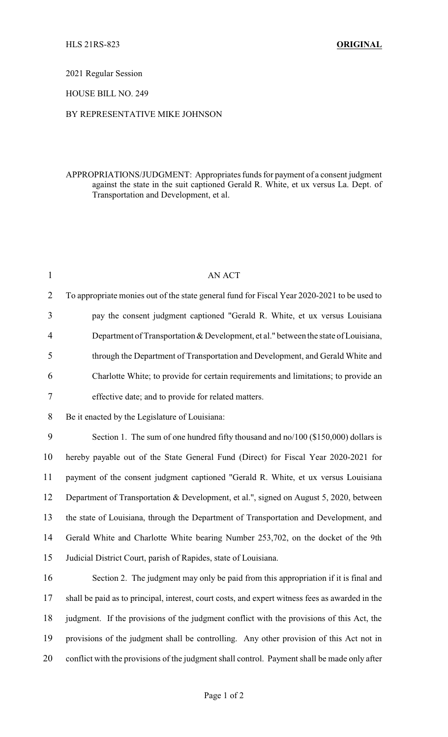#### 2021 Regular Session

## HOUSE BILL NO. 249

### BY REPRESENTATIVE MIKE JOHNSON

# APPROPRIATIONS/JUDGMENT: Appropriates funds for payment of a consent judgment against the state in the suit captioned Gerald R. White, et ux versus La. Dept. of Transportation and Development, et al.

| $\mathbf{1}$ | <b>AN ACT</b>                                                                                   |
|--------------|-------------------------------------------------------------------------------------------------|
| 2            | To appropriate monies out of the state general fund for Fiscal Year 2020-2021 to be used to     |
| 3            | pay the consent judgment captioned "Gerald R. White, et ux versus Louisiana                     |
| 4            | Department of Transportation & Development, et al." between the state of Louisiana,             |
| 5            | through the Department of Transportation and Development, and Gerald White and                  |
| 6            | Charlotte White; to provide for certain requirements and limitations; to provide an             |
| 7            | effective date; and to provide for related matters.                                             |
| 8            | Be it enacted by the Legislature of Louisiana:                                                  |
| 9            | Section 1. The sum of one hundred fifty thousand and no/100 ( $$150,000$ ) dollars is           |
| 10           | hereby payable out of the State General Fund (Direct) for Fiscal Year 2020-2021 for             |
| 11           | payment of the consent judgment captioned "Gerald R. White, et ux versus Louisiana              |
| 12           | Department of Transportation & Development, et al.", signed on August 5, 2020, between          |
| 13           | the state of Louisiana, through the Department of Transportation and Development, and           |
| 14           | Gerald White and Charlotte White bearing Number 253,702, on the docket of the 9th               |
| 15           | Judicial District Court, parish of Rapides, state of Louisiana.                                 |
| 16           | Section 2. The judgment may only be paid from this appropriation if it is final and             |
| 17           | shall be paid as to principal, interest, court costs, and expert witness fees as awarded in the |
| 18           | judgment. If the provisions of the judgment conflict with the provisions of this Act, the       |
| 19           | provisions of the judgment shall be controlling. Any other provision of this Act not in         |
| 20           | conflict with the provisions of the judgment shall control. Payment shall be made only after    |